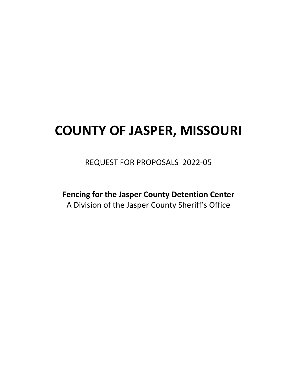# **COUNTY OF JASPER, MISSOURI**

REQUEST FOR PROPOSALS 2022-05

**Fencing for the Jasper County Detention Center** A Division of the Jasper County Sheriff's Office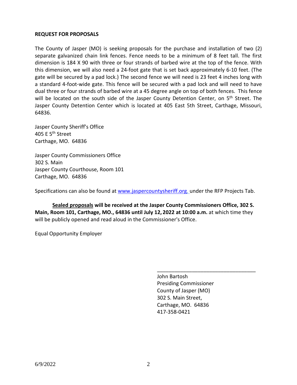#### **REQUEST FOR PROPOSALS**

The County of Jasper (MO) is seeking proposals for the purchase and installation of two (2) separate galvanized chain link fences. Fence needs to be a minimum of 8 feet tall. The first dimension is 184 X 90 with three or four strands of barbed wire at the top of the fence. With this dimension, we will also need a 24-foot gate that is set back approximately 6-10 feet. (The gate will be secured by a pad lock.) The second fence we will need is 23 feet 4 inches long with a standard 4-foot-wide gate. This fence will be secured with a pad lock and will need to have dual three or four strands of barbed wire at a 45 degree angle on top of both fences. This fence will be located on the south side of the Jasper County Detention Center, on 5<sup>th</sup> Street. The Jasper County Detention Center which is located at 405 East 5th Street, Carthage, Missouri, 64836.

Jasper County Sheriff's Office 405 E 5th Street Carthage, MO. 64836

Jasper County Commissioners Office 302 S. Main Jasper County Courthouse, Room 101 Carthage, MO. 64836

Specifications can also be found at [www.jaspercountysheriff.org,](http://www.jaspercountysheriff.org/) under the RFP Projects Tab.

**Sealed proposals will be received at the Jasper County Commissioners Office, 302 S. Main, Room 101, Carthage, MO., 64836 until July 12, 2022 at 10:00 a.m.** at which time they will be publicly opened and read aloud in the Commissioner's Office.

Equal Opportunity Employer

John Bartosh Presiding Commissioner County of Jasper (MO) 302 S. Main Street, Carthage, MO. 64836 417-358-0421

\_\_\_\_\_\_\_\_\_\_\_\_\_\_\_\_\_\_\_\_\_\_\_\_\_\_\_\_\_\_\_\_\_\_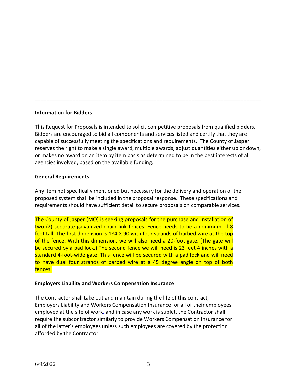# **Information for Bidders**

This Request for Proposals is intended to solicit competitive proposals from qualified bidders. Bidders are encouraged to bid all components and services listed and certify that they are capable of successfully meeting the specifications and requirements. The County of Jasper reserves the right to make a single award, multiple awards, adjust quantities either up or down, or makes no award on an item by item basis as determined to be in the best interests of all agencies involved, based on the available funding.

**\_\_\_\_\_\_\_\_\_\_\_\_\_\_\_\_\_\_\_\_\_\_\_\_\_\_\_\_\_\_\_\_\_\_\_\_\_\_\_\_\_\_\_\_\_\_\_\_\_\_\_\_\_\_\_\_\_\_\_\_\_\_\_\_\_\_\_\_\_\_\_\_\_\_\_\_\_\_**

# **General Requirements**

Any item not specifically mentioned but necessary for the delivery and operation of the proposed system shall be included in the proposal response. These specifications and requirements should have sufficient detail to secure proposals on comparable services.

The County of Jasper (MO) is seeking proposals for the purchase and installation of two (2) separate galvanized chain link fences. Fence needs to be a minimum of 8 feet tall. The first dimension is 184 X 90 with four strands of barbed wire at the top of the fence. With this dimension, we will also need a 20-foot gate. (The gate will be secured by a pad lock.) The second fence we will need is 23 feet 4 inches with a standard 4-foot-wide gate. This fence will be secured with a pad lock and will need to have dual four strands of barbed wire at a 45 degree angle on top of both fences.

## **Employers Liability and Workers Compensation Insurance**

The Contractor shall take out and maintain during the life of this contract, Employers Liability and Workers Compensation Insurance for all of their employees employed at the site of work, and in case any work is sublet, the Contractor shall require the subcontractor similarly to provide Workers Compensation Insurance for all of the latter's employees unless such employees are covered by the protection afforded by the Contractor.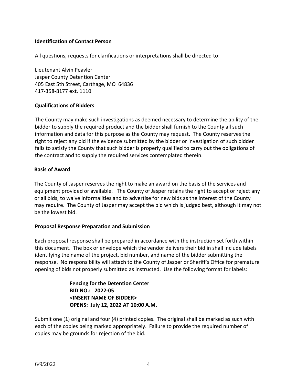# **Identification of Contact Person**

All questions, requests for clarifications or interpretations shall be directed to:

Lieutenant Alvin Peavler Jasper County Detention Center 405 East 5th Street, Carthage, MO 64836 417-358-8177 ext. 1110

## **Qualifications of Bidders**

The County may make such investigations as deemed necessary to determine the ability of the bidder to supply the required product and the bidder shall furnish to the County all such information and data for this purpose as the County may request. The County reserves the right to reject any bid if the evidence submitted by the bidder or investigation of such bidder fails to satisfy the County that such bidder is properly qualified to carry out the obligations of the contract and to supply the required services contemplated therein.

#### **Basis of Award**

The County of Jasper reserves the right to make an award on the basis of the services and equipment provided or available. The County of Jasper retains the right to accept or reject any or all bids, to waive informalities and to advertise for new bids as the interest of the County may require. The County of Jasper may accept the bid which is judged best, although it may not be the lowest bid.

## **Proposal Response Preparation and Submission**

Each proposal response shall be prepared in accordance with the instruction set forth within this document. The box or envelope which the vendor delivers their bid in shall include labels identifying the name of the project, bid number, and name of the bidder submitting the response. No responsibility will attach to the County of Jasper or Sheriff's Office for premature opening of bids not properly submitted as instructed. Use the following format for labels:

> **Fencing for the Detention Center BID NO.: 2022-05 <INSERT NAME OF BIDDER> OPENS: July 12, 2022 AT 10:00 A.M.**

Submit one (1) original and four (4) printed copies. The original shall be marked as such with each of the copies being marked appropriately. Failure to provide the required number of copies may be grounds for rejection of the bid.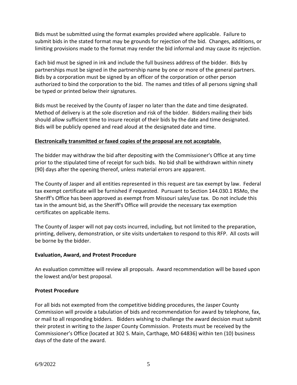Bids must be submitted using the format examples provided where applicable. Failure to submit bids in the stated format may be grounds for rejection of the bid. Changes, additions, or limiting provisions made to the format may render the bid informal and may cause its rejection.

Each bid must be signed in ink and include the full business address of the bidder. Bids by partnerships must be signed in the partnership name by one or more of the general partners. Bids by a corporation must be signed by an officer of the corporation or other person authorized to bind the corporation to the bid. The names and titles of all persons signing shall be typed or printed below their signatures.

Bids must be received by the County of Jasper no later than the date and time designated. Method of delivery is at the sole discretion and risk of the bidder. Bidders mailing their bids should allow sufficient time to insure receipt of their bids by the date and time designated. Bids will be publicly opened and read aloud at the designated date and time.

# **Electronically transmitted or faxed copies of the proposal are not acceptable.**

The bidder may withdraw the bid after depositing with the Commissioner's Office at any time prior to the stipulated time of receipt for such bids. No bid shall be withdrawn within ninety (90) days after the opening thereof, unless material errors are apparent.

The County of Jasper and all entities represented in this request are tax exempt by law. Federal tax exempt certificate will be furnished if requested. Pursuant to Section 144.030.1 RSMo, the Sheriff's Office has been approved as exempt from Missouri sales/use tax. Do not include this tax in the amount bid, as the Sheriff's Office will provide the necessary tax exemption certificates on applicable items.

The County of Jasper will not pay costs incurred, including, but not limited to the preparation, printing, delivery, demonstration, or site visits undertaken to respond to this RFP. All costs will be borne by the bidder.

# **Evaluation, Award, and Protest Procedure**

An evaluation committee will review all proposals. Award recommendation will be based upon the lowest and/or best proposal.

## **Protest Procedure**

For all bids not exempted from the competitive bidding procedures, the Jasper County Commission will provide a tabulation of bids and recommendation for award by telephone, fax, or mail to all responding bidders. Bidders wishing to challenge the award decision must submit their protest in writing to the Jasper County Commission. Protests must be received by the Commissioner's Office (located at 302 S. Main, Carthage, MO 64836) within ten (10) business days of the date of the award.